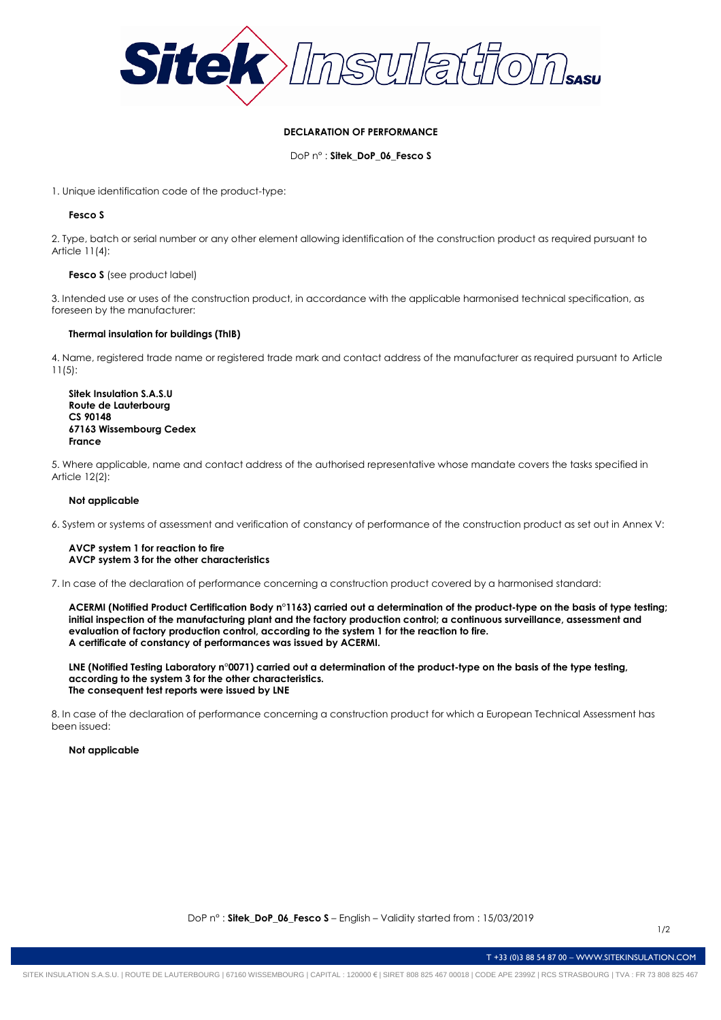

# **DECLARATION OF PERFORMANCE**

DoP n° : **Sitek\_DoP\_06\_Fesco S**

1. Unique identification code of the product-type:

# **Fesco S**

2. Type, batch or serial number or any other element allowing identification of the construction product as required pursuant to Article 11(4):

## **Fesco S** (see product label)

3. Intended use or uses of the construction product, in accordance with the applicable harmonised technical specification, as foreseen by the manufacturer:

## **Thermal insulation for buildings (ThIB)**

4. Name, registered trade name or registered trade mark and contact address of the manufacturer as required pursuant to Article 11(5):

**Sitek Insulation S.A.S.U Route de Lauterbourg CS 90148 67163 Wissembourg Cedex France**

5. Where applicable, name and contact address of the authorised representative whose mandate covers the tasks specified in Article 12(2):

# **Not applicable**

6. System or systems of assessment and verification of constancy of performance of the construction product as set out in Annex V:

#### **AVCP system 1 for reaction to fire AVCP system 3 for the other characteristics**

7. In case of the declaration of performance concerning a construction product covered by a harmonised standard:

**ACERMI (Notified Product Certification Body n°1163) carried out a determination of the product-type on the basis of type testing; initial inspection of the manufacturing plant and the factory production control; a continuous surveillance, assessment and evaluation of factory production control, according to the system 1 for the reaction to fire. A certificate of constancy of performances was issued by ACERMI.**

**LNE (Notified Testing Laboratory n°0071) carried out a determination of the product-type on the basis of the type testing, according to the system 3 for the other characteristics. The consequent test reports were issued by LNE**

8. In case of the declaration of performance concerning a construction product for which a European Technical Assessment has been issued:

#### **Not applicable**

T +33 (0)3 88 54 87 00 – WWW.SITEKINSULATION.COM